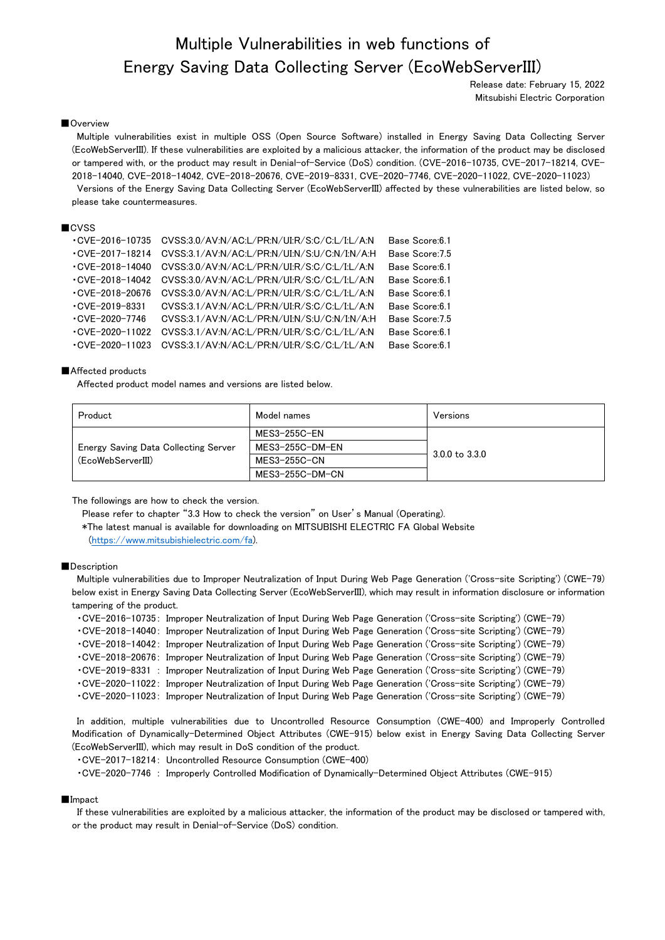# Multiple Vulnerabilities in web functions of Energy Saving Data Collecting Server (EcoWebServerIII)

Release date: February 15, 2022 Mitsubishi Electric Corporation

#### ■Overview

Multiple vulnerabilities exist in multiple OSS (Open Source Software) installed in Energy Saving Data Collecting Server (EcoWebServerIII). If these vulnerabilities are exploited by a malicious attacker, the information of the product may be disclosed or tampered with, or the product may result in Denial-of-Service (DoS) condition. (CVE-2016-10735, CVE-2017-18214, CVE-2018-14040, CVE-2018-14042, CVE-2018-20676, CVE-2019-8331, CVE-2020-7746, CVE-2020-11022, CVE-2020-11023) Versions of the Energy Saving Data Collecting Server (EcoWebServerIII) affected by these vulnerabilities are listed below, so please take countermeasures.

#### ■CVSS

| $-CVE-2016-10735$      | CVSS:3.0/AV:N/AC:L/PR:N/UI:R/S:C/C:L/I:L/A:N | Base Score: 6.1 |
|------------------------|----------------------------------------------|-----------------|
| $\cdot$ CVF-2017-18214 | CVSS:3.1/AV:N/AC:L/PR:N/UI:N/S:U/C:N/I:N/A:H | Base Score: 7.5 |
| $-CVE-2018-14040$      | CVSS:3.0/AV:N/AC:L/PR:N/UI:R/S:C/C:L/I:L/A:N | Base Score: 6.1 |
| $-CVE-2018-14042$      | CVSS:3.0/AV:N/AC:L/PR:N/UI:R/S:C/C:L/I:L/A:N | Base Score: 6.1 |
| $-CVE-2018-20676$      | CVSS:3.0/AV:N/AC:L/PR:N/UI:R/S:C/C:L/I:L/A:N | Base Score: 6.1 |
| $-CVE-2019-8331$       | CVSS:3.1/AV:N/AC:L/PR:N/UI:R/S:C/C:L/I:L/A:N | Base Score: 6.1 |
| $-CVE-2020-7746$       | CVSS:3.1/AV:N/AC:L/PR:N/UI:N/S:U/C:N/I:N/A:H | Base Score: 7.5 |
| $-CVE-2020-11022$      | CVSS:3.1/AV:N/AC:L/PR:N/UI:R/S:C/C:L/I:L/A:N | Base Score: 6.1 |
| $-CVE-2020-11023$      | CVSS:3.1/AV:N/AC:L/PR:N/UI:R/S:C/C:L/I:L/A:N | Base Score: 6.1 |

### ■Affected products

Affected product model names and versions are listed below.

| Product                              | Model names         | Versions                  |
|--------------------------------------|---------------------|---------------------------|
|                                      | MES3-255C-EN        | $3.0.0 \text{ to } 3.3.0$ |
| Energy Saving Data Collecting Server | MES3-255C-DM-EN     |                           |
| (EcoWebServerIII)                    | <b>MES3-255C-CN</b> |                           |
|                                      | MES3-255C-DM-CN     |                           |

The followings are how to check the version.

Please refer to chapter "3.3 How to check the version" on User's Manual (Operating).

 \*The latest manual is available for downloading on MITSUBISHI ELECTRIC FA Global Website [\(https://www.mitsubishielectric.com/fa\)](https://www.mitsubishielectric.com/fa).

#### ■Description

Multiple vulnerabilities due to Improper Neutralization of Input During Web Page Generation ('Cross-site Scripting') (CWE-79) below exist in Energy Saving Data Collecting Server (EcoWebServerIII), which may result in information disclosure or information tampering of the product.

・CVE-2016-10735: Improper Neutralization of Input During Web Page Generation ('Cross-site Scripting') (CWE-79)

・CVE-2018-14040: Improper Neutralization of Input During Web Page Generation ('Cross-site Scripting') (CWE-79)

・CVE-2018-14042: Improper Neutralization of Input During Web Page Generation ('Cross-site Scripting') (CWE-79)

・CVE-2018-20676: Improper Neutralization of Input During Web Page Generation ('Cross-site Scripting') (CWE-79)

・CVE-2019-8331 : Improper Neutralization of Input During Web Page Generation ('Cross-site Scripting') (CWE-79)

・CVE-2020-11022: Improper Neutralization of Input During Web Page Generation ('Cross-site Scripting') (CWE-79)

・CVE-2020-11023: Improper Neutralization of Input During Web Page Generation ('Cross-site Scripting') (CWE-79)

In addition, multiple vulnerabilities due to Uncontrolled Resource Consumption (CWE-400) and Improperly Controlled Modification of Dynamically-Determined Object Attributes (CWE-915) below exist in Energy Saving Data Collecting Server (EcoWebServerIII), which may result in DoS condition of the product.

・CVE-2017-18214: Uncontrolled Resource Consumption (CWE-400)

・CVE-2020-7746 : Improperly Controlled Modification of Dynamically-Determined Object Attributes (CWE-915)

#### ■Impact

If these vulnerabilities are exploited by a malicious attacker, the information of the product may be disclosed or tampered with, or the product may result in Denial-of-Service (DoS) condition.